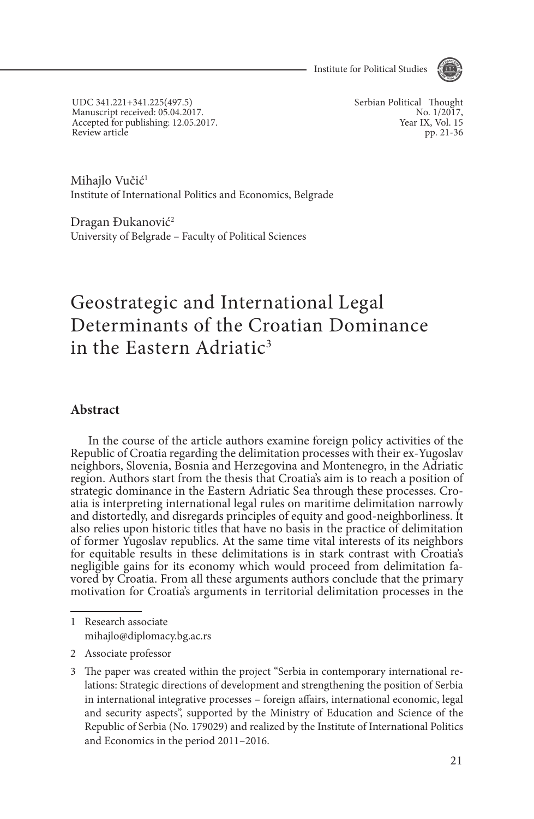Institute for Political Studies



UDC 341.221+341.225(497.5) Manuscript received: 05.04.2017. Accepted for publishing: 12.05.2017. Review article

Serbian Political Thought No. 1/2017, Year IX, Vol. 15 pp. 21-36

Mihajlo Vučić<sup>1</sup> Institute of International Politics and Economics, Belgrade

Dragan Đukanović<sup>2</sup> University of Belgrade – Faculty of Political Sciences

# Geostrategic and International Legal Determinants of the Croatian Dominance in the Eastern Adriatic<sup>3</sup>

### **Abstract**

In the course of the article authors examine foreign policy activities of the Republic of Croatia regarding the delimitation processes with their ex-Yugoslav neighbors, Slovenia, Bosnia and Herzegovina and Montenegro, in the Adriatic region. Authors start from the thesis that Croatia's aim is to reach a position of strategic dominance in the Eastern Adriatic Sea through these processes. Croatia is interpreting international legal rules on maritime delimitation narrowly and distortedly, and disregards principles of equity and good-neighborliness. It also relies upon historic titles that have no basis in the practice of delimitation of former Yugoslav republics. At the same time vital interests of its neighbors for equitable results in these delimitations is in stark contrast with Croatia's negligible gains for its economy which would proceed from delimitation favored by Croatia. From all these arguments authors conclude that the primary motivation for Croatia's arguments in territorial delimitation processes in the

<sup>1</sup> Research associate mihajlo@diplomacy.bg.ac.rs

<sup>2</sup> Associate professor

<sup>3</sup> The paper was created within the project "Serbia in contemporary international relations: Strategic directions of development and strengthening the position of Serbia in international integrative processes – foreign affairs, international economic, legal and security aspects", supported by the Ministry of Education and Science of the Republic of Serbia (No. 179029) and realized by the Institute of International Politics and Economics in the period 2011–2016.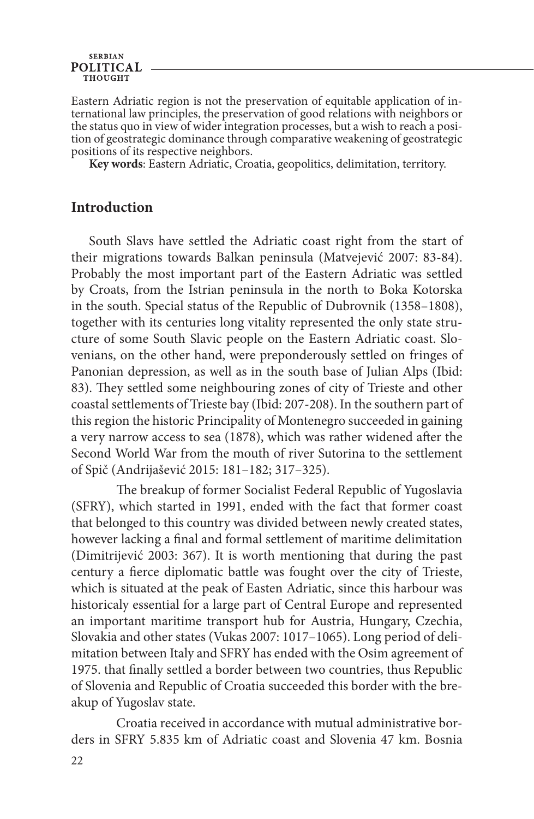Eastern Adriatic region is not the preservation of equitable application of international law principles, the preservation of good relations with neighbors or the status quo in view of wider integration processes, but a wi tion of geostrategic dominance through comparative weakening of geostrategic positions of its respective neighbors.

**Key words**: Eastern Adriatic, Croatia, geopolitics, delimitation, territory.

### **Introduction**

South Slavs have settled the Adriatic coast right from the start of their migrations towards Balkan peninsula (Matvejević 2007: 83-84). Probably the most important part of the Eastern Adriatic was settled by Croats, from the Istrian peninsula in the north to Boka Kotorska in the south. Special status of the Republic of Dubrovnik (1358–1808), together with its centuries long vitality represented the only state structure of some South Slavic people on the Eastern Adriatic coast. Slovenians, on the other hand, were preponderously settled on fringes of Panonian depression, as well as in the south base of Julian Alps (Ibid: 83). They settled some neighbouring zones of city of Trieste and other coastal settlements of Trieste bay (Ibid: 207-208). In the southern part of this region the historic Principality of Montenegro succeeded in gaining a very narrow access to sea (1878), which was rather widened after the Second World War from the mouth of river Sutorina to the settlement of Spič (Andrijašević 2015: 181–182; 317–325).

The breakup of former Socialist Federal Republic of Yugoslavia (SFRY), which started in 1991, ended with the fact that former coast that belonged to this country was divided between newly created states, however lacking a final and formal settlement of maritime delimitation (Dimitrijević 2003: 367). It is worth mentioning that during the past century a fierce diplomatic battle was fought over the city of Trieste, which is situated at the peak of Easten Adriatic, since this harbour was historicaly essential for a large part of Central Europe and represented an important maritime transport hub for Austria, Hungary, Czechia, Slovakia and other states (Vukas 2007: 1017–1065). Long period of delimitation between Italy and SFRY has ended with the Osim agreement of 1975. that finally settled a border between two countries, thus Republic of Slovenia and Republic of Croatia succeeded this border with the breakup of Yugoslav state.

Croatia received in accordance with mutual administrative borders in SFRY 5.835 km of Adriatic coast and Slovenia 47 km. Bosnia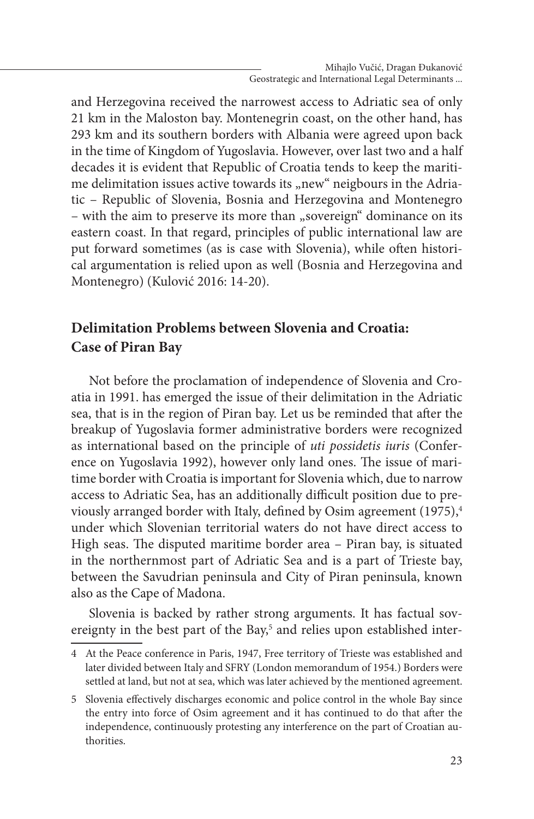and Herzegovina received the narrowest access to Adriatic sea of only 21 km in the Maloston bay. Montenegrin coast, on the other hand, has 293 km and its southern borders with Albania were agreed upon back in the time of Kingdom of Yugoslavia. However, over last two and a half decades it is evident that Republic of Croatia tends to keep the maritime delimitation issues active towards its "new" neigbours in the Adriatic – Republic of Slovenia, Bosnia and Herzegovina and Montenegro – with the aim to preserve its more than "sovereign" dominance on its eastern coast. In that regard, principles of public international law are put forward sometimes (as is case with Slovenia), while often historical argumentation is relied upon as well (Bosnia and Herzegovina and Montenegro) (Kulović 2016: 14-20).

## **Delimitation Problems between Slovenia and Croatia: Case of Piran Bay**

Not before the proclamation of independence of Slovenia and Croatia in 1991. has emerged the issue of their delimitation in the Adriatic sea, that is in the region of Piran bay. Let us be reminded that after the breakup of Yugoslavia former administrative borders were recognized as international based on the principle of *uti possidetis iuris* (Conference on Yugoslavia 1992), however only land ones. The issue of maritime border with Croatia is important for Slovenia which, due to narrow access to Adriatic Sea, has an additionally difficult position due to previously arranged border with Italy, defined by Osim agreement  $(1975)$ ,<sup>4</sup> under which Slovenian territorial waters do not have direct access to High seas. The disputed maritime border area – Piran bay, is situated in the northernmost part of Adriatic Sea and is a part of Trieste bay, between the Savudrian peninsula and City of Piran peninsula, known also as the Cape of Madona.

Slovenia is backed by rather strong arguments. It has factual sovereignty in the best part of the Bay,<sup>5</sup> and relies upon established inter-

<sup>4</sup> At the Peace conference in Paris, 1947, Free territory of Trieste was established and later divided between Italy and SFRY (London memorandum of 1954.) Borders were settled at land, but not at sea, which was later achieved by the mentioned agreement.

<sup>5</sup> Slovenia effectively discharges economic and police control in the whole Bay since the entry into force of Osim agreement and it has continued to do that after the independence, continuously protesting any interference on the part of Croatian authorities.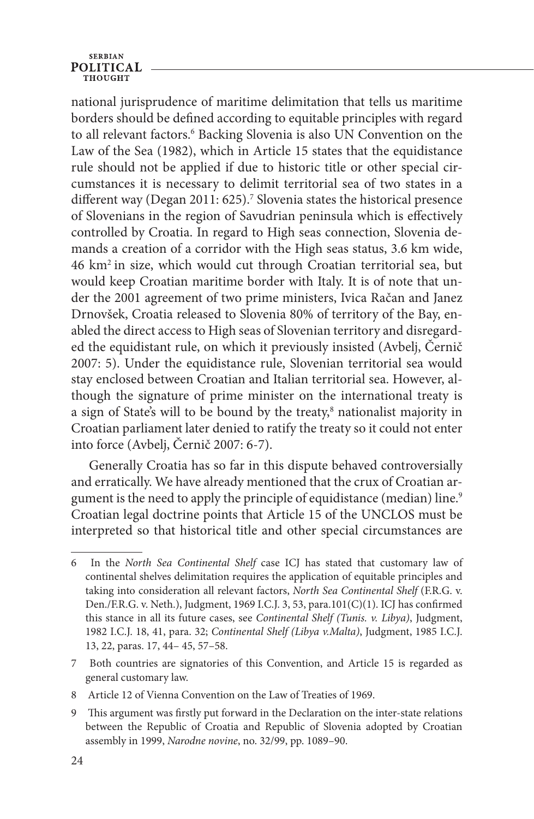national jurisprudence of maritime delimitation that tells us maritime borders should be defined according to equitable principles with regard to all relevant factors.<sup>6</sup> Backing Slovenia is also UN Convention on the Law of the Sea (1982), which in Article 15 states that the equidistance rule should not be applied if due to historic title or other special circumstances it is necessary to delimit territorial sea of two states in a different way (Degan 2011: 625).<sup>7</sup> Slovenia states the historical presence of Slovenians in the region of Savudrian peninsula which is effectively controlled by Croatia. In regard to High seas connection, Slovenia demands a creation of a corridor with the High seas status, 3.6 km wide, 46 km2 in size, which would cut through Croatian territorial sea, but would keep Croatian maritime border with Italy. It is of note that under the 2001 agreement of two prime ministers, Ivica Račan and Janez Drnovšek, Croatia released to Slovenia 80% of territory of the Bay, enabled the direct access to High seas of Slovenian territory and disregarded the equidistant rule, on which it previously insisted (Avbelj, Černič 2007: 5). Under the equidistance rule, Slovenian territorial sea would stay enclosed between Croatian and Italian territorial sea. However, although the signature of prime minister on the international treaty is a sign of State's will to be bound by the treaty,<sup>8</sup> nationalist majority in Croatian parliament later denied to ratify the treaty so it could not enter into force (Avbelj, Černič 2007: 6-7).

Generally Croatia has so far in this dispute behaved controversially and erratically. We have already mentioned that the crux of Croatian argument is the need to apply the principle of equidistance (median) line.<sup>9</sup> Croatian legal doctrine points that Article 15 of the UNCLOS must be interpreted so that historical title and other special circumstances are

8 Article 12 of Vienna Convention on the Law of Treaties of 1969.

<sup>6</sup> In the *North Sea Continental Shelf* case ICJ has stated that customary law of continental shelves delimitation requires the application of equitable principles and taking into consideration all relevant factors, *North Sea Continental Shelf* (F.R.G. v. Den./F.R.G. v. Neth.), Judgment, 1969 I.C.J. 3, 53, para.101(C)(1). ICJ has confirmed this stance in all its future cases, see *Continental Shelf (Tunis. v. Libya)*, Judgment, 1982 I.C.J. 18, 41, para. 32; *Continental Shelf (Libya v.Malta)*, Judgment, 1985 I.C.J. 13, 22, paras. 17, 44– 45, 57–58.

<sup>7</sup> Both countries are signatories of this Convention, and Article 15 is regarded as general customary law.

<sup>9</sup> This argument was firstly put forward in the Declaration on the inter-state relations between the Republic of Croatia and Republic of Slovenia adopted by Croatian assembly in 1999, *Narodne novine*, no. 32/99, pp. 1089–90.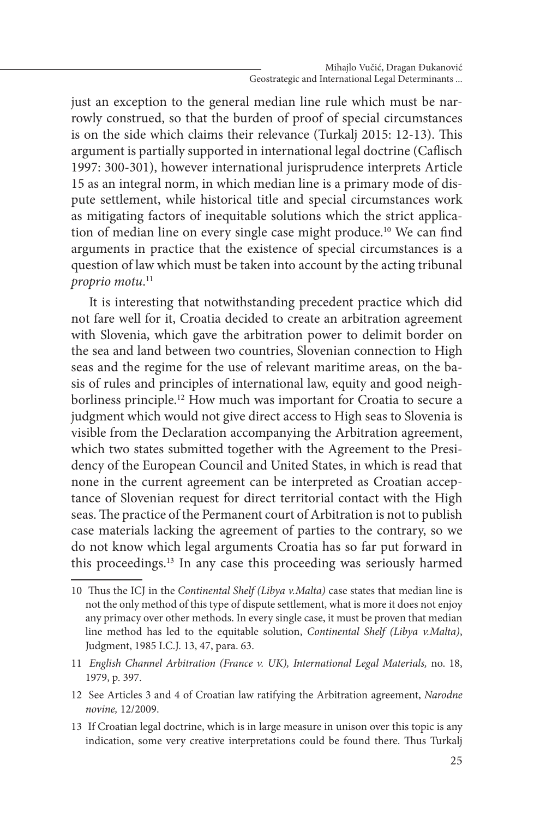just an exception to the general median line rule which must be narrowly construed, so that the burden of proof of special circumstances is on the side which claims their relevance (Turkalj 2015: 12-13). This argument is partially supported in international legal doctrine (Caflisch 1997: 300-301), however international jurisprudence interprets Article 15 as an integral norm, in which median line is a primary mode of dispute settlement, while historical title and special circumstances work as mitigating factors of inequitable solutions which the strict application of median line on every single case might produce.<sup>10</sup> We can find arguments in practice that the existence of special circumstances is a question of law which must be taken into account by the acting tribunal *proprio motu*. 11

It is interesting that notwithstanding precedent practice which did not fare well for it, Croatia decided to create an arbitration agreement with Slovenia, which gave the arbitration power to delimit border on the sea and land between two countries, Slovenian connection to High seas and the regime for the use of relevant maritime areas, on the basis of rules and principles of international law, equity and good neighborliness principle.<sup>12</sup> How much was important for Croatia to secure a judgment which would not give direct access to High seas to Slovenia is visible from the Declaration accompanying the Arbitration agreement, which two states submitted together with the Agreement to the Presidency of the European Council and United States, in which is read that none in the current agreement can be interpreted as Croatian acceptance of Slovenian request for direct territorial contact with the High seas. The practice of the Permanent court of Arbitration is not to publish case materials lacking the agreement of parties to the contrary, so we do not know which legal arguments Croatia has so far put forward in this proceedings.13 In any case this proceeding was seriously harmed

- 11 *English Channel Arbitration (France v. UK), International Legal Materials,* no. 18, 1979, p. 397.
- 12 See Articles 3 and 4 of Croatian law ratifying the Arbitration agreement, *Narodne novine,* 12/2009.
- 13 If Croatian legal doctrine, which is in large measure in unison over this topic is any indication, some very creative interpretations could be found there. Thus Turkalj

<sup>10</sup> Thus the ICJ in the *Continental Shelf (Libya v.Malta)* case states that median line is not the only method of this type of dispute settlement, what is more it does not enjoy any primacy over other methods. In every single case, it must be proven that median line method has led to the equitable solution, *Continental Shelf (Libya v.Malta)*, Judgment, 1985 I.C.J. 13, 47, para. 63.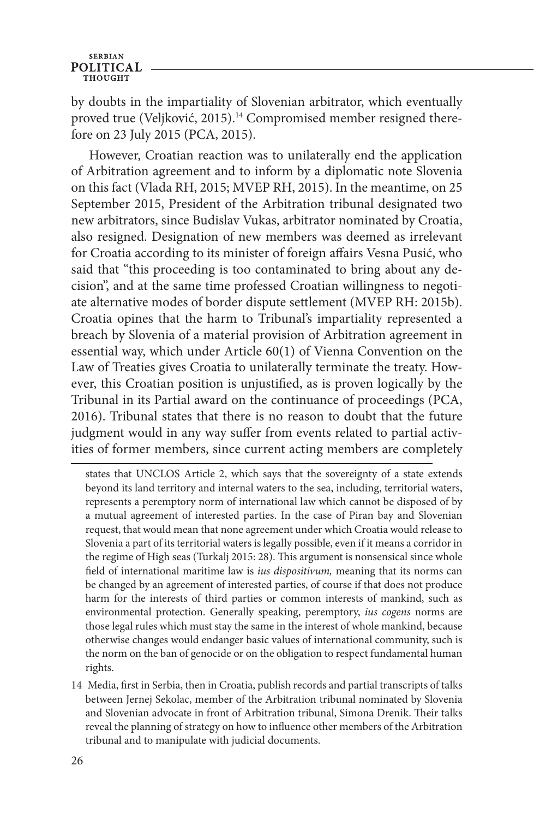by doubts in the impartiality of Slovenian arbitrator, which eventually proved true (Veljković, 2015).<sup>14</sup> Compromised member resigned therefore on 23 July 2015 (PCA, 2015).

However, Croatian reaction was to unilaterally end the application of Arbitration agreement and to inform by a diplomatic note Slovenia on this fact (Vlada RH, 2015; MVEP RH, 2015). In the meantime, on 25 September 2015, President of the Arbitration tribunal designated two new arbitrators, since Budislav Vukas, arbitrator nominated by Croatia, also resigned. Designation of new members was deemed as irrelevant for Croatia according to its minister of foreign affairs Vesna Pusić, who said that "this proceeding is too contaminated to bring about any decision", and at the same time professed Croatian willingness to negotiate alternative modes of border dispute settlement (MVEP RH: 2015b). Croatia opines that the harm to Tribunal's impartiality represented a breach by Slovenia of a material provision of Arbitration agreement in essential way, which under Article 60(1) of Vienna Convention on the Law of Treaties gives Croatia to unilaterally terminate the treaty. However, this Croatian position is unjustified, as is proven logically by the Tribunal in its Partial award on the continuance of proceedings (PCA, 2016). Tribunal states that there is no reason to doubt that the future judgment would in any way suffer from events related to partial activities of former members, since current acting members are completely

states that UNCLOS Article 2, which says that the sovereignty of a state extends beyond its land territory and internal waters to the sea, including, territorial waters, represents a peremptory norm of international law which cannot be disposed of by a mutual agreement of interested parties. In the case of Piran bay and Slovenian request, that would mean that none agreement under which Croatia would release to Slovenia a part of its territorial waters is legally possible, even if it means a corridor in the regime of High seas (Turkalj 2015: 28). This argument is nonsensical since whole field of international maritime law is *ius dispositivum,* meaning that its norms can be changed by an agreement of interested parties, of course if that does not produce harm for the interests of third parties or common interests of mankind, such as environmental protection. Generally speaking, peremptory, *ius cogens* norms are those legal rules which must stay the same in the interest of whole mankind, because otherwise changes would endanger basic values of international community, such is the norm on the ban of genocide or on the obligation to respect fundamental human rights.

14 Media, first in Serbia, then in Croatia, publish records and partial transcripts of talks between Jernej Sekolac, member of the Arbitration tribunal nominated by Slovenia and Slovenian advocate in front of Arbitration tribunal, Simona Drenik. Their talks reveal the planning of strategy on how to influence other members of the Arbitration tribunal and to manipulate with judicial documents.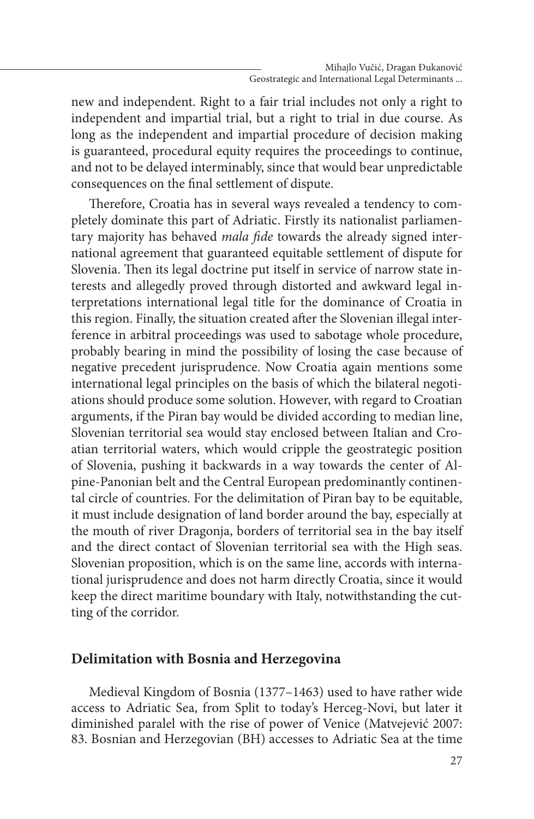new and independent. Right to a fair trial includes not only a right to independent and impartial trial, but a right to trial in due course. As long as the independent and impartial procedure of decision making is guaranteed, procedural equity requires the proceedings to continue, and not to be delayed interminably, since that would bear unpredictable consequences on the final settlement of dispute.

Therefore, Croatia has in several ways revealed a tendency to completely dominate this part of Adriatic. Firstly its nationalist parliamentary majority has behaved *mala fide* towards the already signed international agreement that guaranteed equitable settlement of dispute for Slovenia. Then its legal doctrine put itself in service of narrow state interests and allegedly proved through distorted and awkward legal interpretations international legal title for the dominance of Croatia in this region. Finally, the situation created after the Slovenian illegal interference in arbitral proceedings was used to sabotage whole procedure, probably bearing in mind the possibility of losing the case because of negative precedent jurisprudence. Now Croatia again mentions some international legal principles on the basis of which the bilateral negotiations should produce some solution. However, with regard to Croatian arguments, if the Piran bay would be divided according to median line, Slovenian territorial sea would stay enclosed between Italian and Croatian territorial waters, which would cripple the geostrategic position of Slovenia, pushing it backwards in a way towards the center of Alpine-Panonian belt and the Central European predominantly continental circle of countries. For the delimitation of Piran bay to be equitable, it must include designation of land border around the bay, especially at the mouth of river Dragonja, borders of territorial sea in the bay itself and the direct contact of Slovenian territorial sea with the High seas. Slovenian proposition, which is on the same line, accords with international jurisprudence and does not harm directly Croatia, since it would keep the direct maritime boundary with Italy, notwithstanding the cutting of the corridor.

### **Delimitation with Bosnia and Herzegovina**

Medieval Kingdom of Bosnia (1377–1463) used to have rather wide access to Adriatic Sea, from Split to today's Herceg-Novi, but later it diminished paralel with the rise of power of Venice (Matvejević 2007: 83. Bosnian and Herzegovian (BH) accesses to Adriatic Sea at the time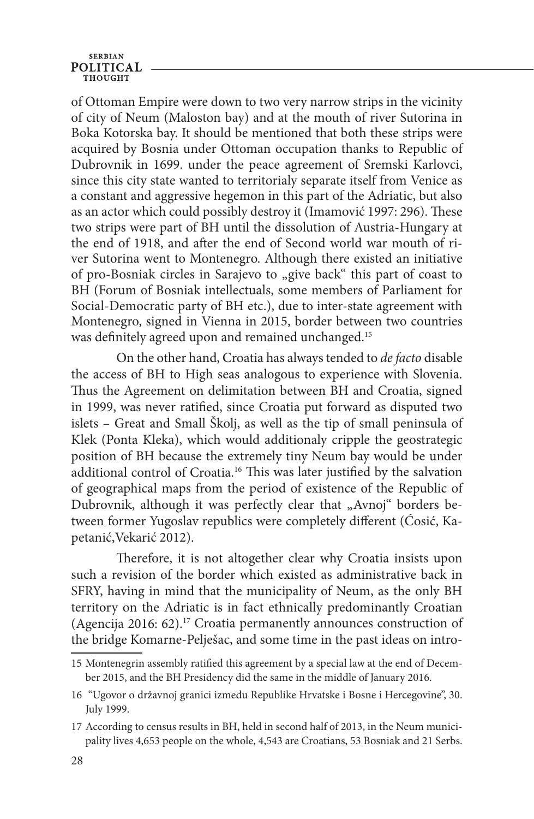### **SERBIAN POLITICAL**

of Ottoman Empire were down to two very narrow strips in the vicinity of city of Neum (Maloston bay) and at the mouth of river Sutorina in Boka Kotorska bay. It should be mentioned that both these strips were acquired by Bosnia under Ottoman occupation thanks to Republic of Dubrovnik in 1699. under the peace agreement of Sremski Karlovci, since this city state wanted to territorialy separate itself from Venice as a constant and aggressive hegemon in this part of the Adriatic, but also as an actor which could possibly destroy it (Imamović 1997: 296). These two strips were part of BH until the dissolution of Austria-Hungary at the end of 1918, and after the end of Second world war mouth of river Sutorina went to Montenegro. Although there existed an initiative of pro-Bosniak circles in Sarajevo to "give back" this part of coast to BH (Forum of Bosniak intellectuals, some members of Parliament for Social-Democratic party of BH etc.), due to inter-state agreement with Montenegro, signed in Vienna in 2015, border between two countries was definitely agreed upon and remained unchanged.15

On the other hand, Croatia has always tended to *de facto* disable the access of BH to High seas analogous to experience with Slovenia. Thus the Agreement on delimitation between BH and Croatia, signed in 1999, was never ratified, since Croatia put forward as disputed two islets – Great and Small Školj, as well as the tip of small peninsula of Klek (Ponta Kleka), which would additionaly cripple the geostrategic position of BH because the extremely tiny Neum bay would be under additional control of Croatia.16 This was later justified by the salvation of geographical maps from the period of existence of the Republic of Dubrovnik, although it was perfectly clear that "Avnoj" borders between former Yugoslav republics were completely different (Ćosić, Kapetanić,Vekarić 2012).

Therefore, it is not altogether clear why Croatia insists upon such a revision of the border which existed as administrative back in SFRY, having in mind that the municipality of Neum, as the only BH territory on the Adriatic is in fact ethnically predominantly Croatian (Agencija 2016: 62).17 Croatia permanently announces construction of the bridge Komarne-Pelješac, and some time in the past ideas on intro-

<sup>15</sup> Montenegrin assembly ratified this agreement by a special law at the end of December 2015, and the BH Presidency did the same in the middle of January 2016.

<sup>16 &</sup>quot;Ugovor o državnoj granici između Republike Hrvatske i Bosne i Hercegovine", 30. July 1999.

<sup>17</sup> According to census results in BH, held in second half of 2013, in the Neum municipality lives 4,653 people on the whole, 4,543 are Croatians, 53 Bosniak and 21 Serbs.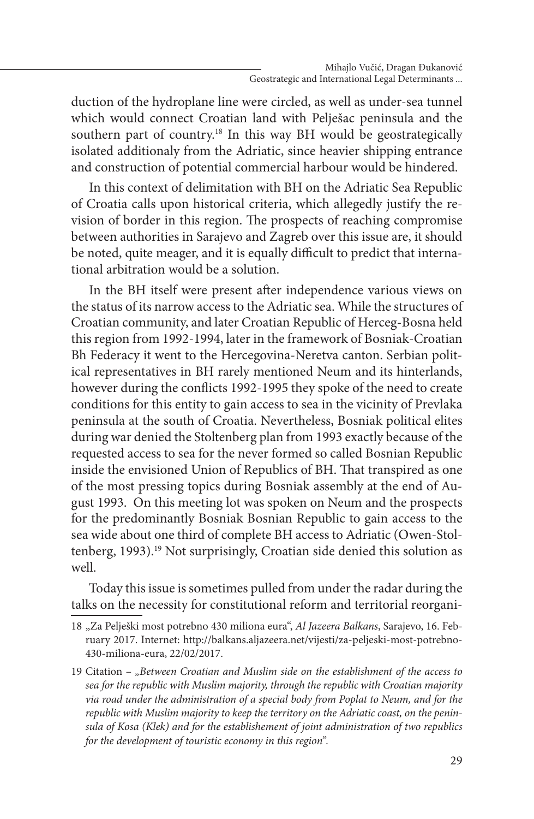duction of the hydroplane line were circled, as well as under-sea tunnel which would connect Croatian land with Pelješac peninsula and the southern part of country.<sup>18</sup> In this way BH would be geostrategically isolated additionaly from the Adriatic, since heavier shipping entrance and construction of potential commercial harbour would be hindered.

In this context of delimitation with BH on the Adriatic Sea Republic of Croatia calls upon historical criteria, which allegedly justify the revision of border in this region. The prospects of reaching compromise between authorities in Sarajevo and Zagreb over this issue are, it should be noted, quite meager, and it is equally difficult to predict that international arbitration would be a solution.

In the BH itself were present after independence various views on the status of its narrow access to the Adriatic sea. While the structures of Croatian community, and later Croatian Republic of Herceg-Bosna held this region from 1992-1994, later in the framework of Bosniak-Croatian Bh Federacy it went to the Hercegovina-Neretva canton. Serbian political representatives in BH rarely mentioned Neum and its hinterlands, however during the conflicts 1992-1995 they spoke of the need to create conditions for this entity to gain access to sea in the vicinity of Prevlaka peninsula at the south of Croatia. Nevertheless, Bosniak political elites during war denied the Stoltenberg plan from 1993 exactly because of the requested access to sea for the never formed so called Bosnian Republic inside the envisioned Union of Republics of BH. That transpired as one of the most pressing topics during Bosniak assembly at the end of August 1993. On this meeting lot was spoken on Neum and the prospects for the predominantly Bosniak Bosnian Republic to gain access to the sea wide about one third of complete BH access to Adriatic (Owen-Stoltenberg, 1993).<sup>19</sup> Not surprisingly, Croatian side denied this solution as well.

Today this issue is sometimes pulled from under the radar during the talks on the necessity for constitutional reform and territorial reorgani-

<sup>18</sup> "Za Pelješki most potrebno 430 miliona eura", *Al Jazeera Balkans*, Sarajevo, 16. February 2017. Internet: http://balkans.aljazeera.net/vijesti/za-peljeski-most-potrebno-430-miliona-eura, 22/02/2017.

<sup>19</sup> Citation – *"Between Croatian and Muslim side on the establishment of the access to sea for the republic with Muslim majority, through the republic with Croatian majority via road under the administration of a special body from Poplat to Neum, and for the republic with Muslim majority to keep the territory on the Adriatic coast, on the peninsula of Kosa (Klek) and for the establishement of joint administration of two republics for the development of touristic economy in this region".*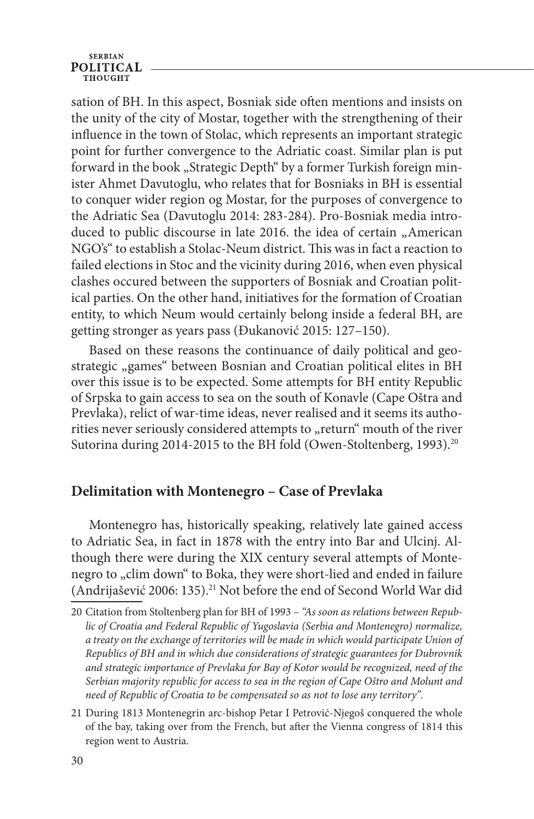#### **SERBIAN POLITICAL** тнопсит

sation of BH. In this aspect, Bosniak side often mentions and insists on the unity of the city of Mostar, together with the strengthening of their influence in the town of Stolac, which represents an important strategic point for further convergence to the Adriatic coast. Similar plan is put forward in the book "Strategic Depth" by a former Turkish foreign minister Ahmet Davutoglu, who relates that for Bosniaks in BH is essential to conquer wider region og Mostar, for the purposes of convergence to the Adriatic Sea (Davutoglu 2014: 283-284). Pro-Bosniak media introduced to public discourse in late 2016. the idea of certain "American NGO's" to establish a Stolac-Neum district. This was in fact a reaction to failed elections in Stoc and the vicinity during 2016, when even physical clashes occured between the supporters of Bosniak and Croatian political parties. On the other hand, initiatives for the formation of Croatian entity, to which Neum would certainly belong inside a federal BH, are getting stronger as years pass (Đukanović 2015: 127–150).

Based on these reasons the continuance of daily political and geostrategic "games" between Bosnian and Croatian political elites in BH over this issue is to be expected. Some attempts for BH entity Republic of Srpska to gain access to sea on the south of Konavle (Cape Oštra and Prevlaka), relict of war-time ideas, never realised and it seems its authorities never seriously considered attempts to "return" mouth of the river Sutorina during 2014-2015 to the BH fold (Owen-Stoltenberg, 1993).<sup>20</sup>

### **Delimitation with Montenegro – Case of Prevlaka**

Montenegro has, historically speaking, relatively late gained access to Adriatic Sea, in fact in 1878 with the entry into Bar and Ulcinj. Although there were during the XIX century several attempts of Montenegro to "clim down" to Boka, they were short-lied and ended in failure (Andrijašević 2006: 135).21 Not before the end of Second World War did

<sup>20</sup> Citation from Stoltenberg plan for BH of 1993 – *"As soon as relations between Republic of Croatia and Federal Republic of Yugoslavia (Serbia and Montenegro) normalize, a treaty on the exchange of territories will be made in which would participate Union of Republics of BH and in which due considerations of strategic guarantees for Dubrovnik and strategic importance of Prevlaka for Bay of Kotor would be recognized, need of the Serbian majority republic for access to sea in the region of Cape Oštro and Molunt and need of Republic of Croatia to be compensated so as not to lose any territory"*.

<sup>21</sup> During 1813 Montenegrin arc-bishop Petar I Petrović-Njegoš conquered the whole of the bay, taking over from the French, but after the Vienna congress of 1814 this region went to Austria.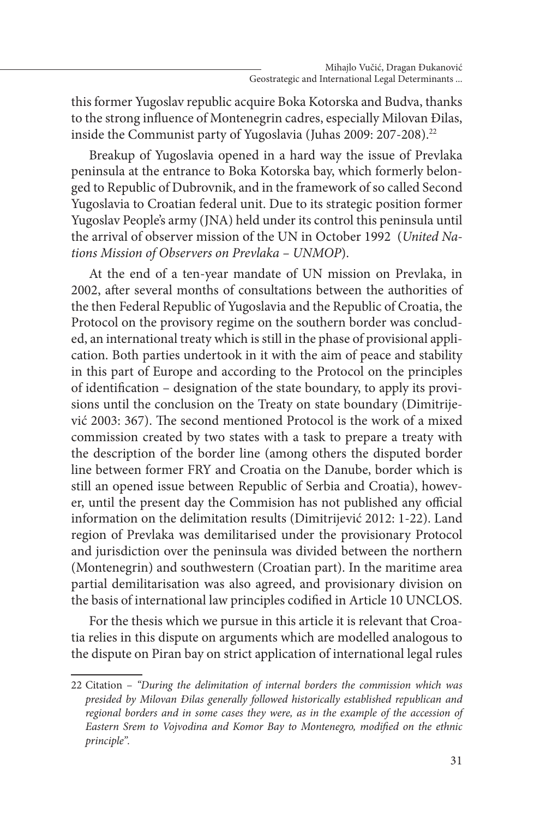this former Yugoslav republic acquire Boka Kotorska and Budva, thanks to the strong influence of Montenegrin cadres, especially Milovan Đilas, inside the Communist party of Yugoslavia (Juhas 2009: 207-208).<sup>22</sup>

Breakup of Yugoslavia opened in a hard way the issue of Prevlaka peninsula at the entrance to Boka Kotorska bay, which formerly belonged to Republic of Dubrovnik, and in the framework of so called Second Yugoslavia to Croatian federal unit. Due to its strategic position former Yugoslav People's army (JNA) held under its control this peninsula until the arrival of observer mission of the UN in October 1992 (*United Nations Mission of Observers on Prevlaka – UNMOP*).

At the end of a ten-year mandate of UN mission on Prevlaka, in 2002, after several months of consultations between the authorities of the then Federal Republic of Yugoslavia and the Republic of Croatia, the Protocol on the provisory regime on the southern border was concluded, an international treaty which is still in the phase of provisional application. Both parties undertook in it with the aim of peace and stability in this part of Europe and according to the Protocol on the principles of identification – designation of the state boundary, to apply its provisions until the conclusion on the Treaty on state boundary (Dimitrijević 2003: 367). The second mentioned Protocol is the work of a mixed commission created by two states with a task to prepare a treaty with the description of the border line (among others the disputed border line between former FRY and Croatia on the Danube, border which is still an opened issue between Republic of Serbia and Croatia), however, until the present day the Commision has not published any official information on the delimitation results (Dimitrijević 2012: 1-22). Land region of Prevlaka was demilitarised under the provisionary Protocol and jurisdiction over the peninsula was divided between the northern (Montenegrin) and southwestern (Croatian part). In the maritime area partial demilitarisation was also agreed, and provisionary division on the basis of international law principles codified in Article 10 UNCLOS.

For the thesis which we pursue in this article it is relevant that Croatia relies in this dispute on arguments which are modelled analogous to the dispute on Piran bay on strict application of international legal rules

<sup>22</sup> Citation – *"During the delimitation of internal borders the commission which was presided by Milovan Đilas generally followed historically established republican and regional borders and in some cases they were, as in the example of the accession of Eastern Srem to Vojvodina and Komor Bay to Montenegro, modified on the ethnic principle".*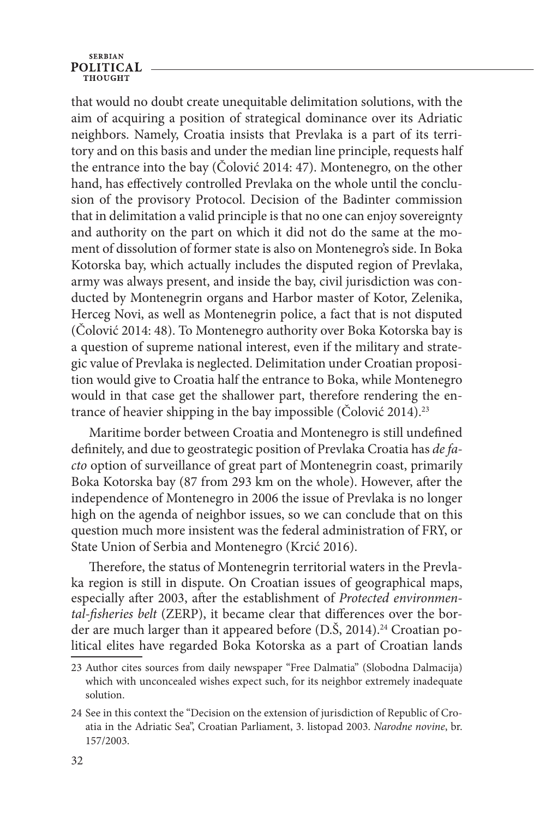#### **SERBIAN POLITICAL** тнопент

that would no doubt create unequitable delimitation solutions, with the aim of acquiring a position of strategical dominance over its Adriatic neighbors. Namely, Croatia insists that Prevlaka is a part of its territory and on this basis and under the median line principle, requests half the entrance into the bay (Čolović 2014: 47). Montenegro, on the other hand, has effectively controlled Prevlaka on the whole until the conclusion of the provisory Protocol. Decision of the Badinter commission that in delimitation a valid principle is that no one can enjoy sovereignty and authority on the part on which it did not do the same at the moment of dissolution of former state is also on Montenegro's side. In Boka Kotorska bay, which actually includes the disputed region of Prevlaka, army was always present, and inside the bay, civil jurisdiction was conducted by Montenegrin organs and Harbor master of Kotor, Zelenika, Herceg Novi, as well as Montenegrin police, a fact that is not disputed (Čolović 2014: 48). To Montenegro authority over Boka Kotorska bay is a question of supreme national interest, even if the military and strategic value of Prevlaka is neglected. Delimitation under Croatian proposition would give to Croatia half the entrance to Boka, while Montenegro would in that case get the shallower part, therefore rendering the entrance of heavier shipping in the bay impossible (Čolović 2014).<sup>23</sup>

Maritime border between Croatia and Montenegro is still undefined definitely, and due to geostrategic position of Prevlaka Croatia has *de facto* option of surveillance of great part of Montenegrin coast, primarily Boka Kotorska bay (87 from 293 km on the whole). However, after the independence of Montenegro in 2006 the issue of Prevlaka is no longer high on the agenda of neighbor issues, so we can conclude that on this question much more insistent was the federal administration of FRY, or State Union of Serbia and Montenegro (Krcić 2016).

Therefore, the status of Montenegrin territorial waters in the Prevlaka region is still in dispute. On Croatian issues of geographical maps, especially after 2003, after the establishment of *Protected environmental-fisheries belt* (ZERP), it became clear that differences over the border are much larger than it appeared before  $(D.\check{S}, 2014).<sup>24</sup>$  Croatian political elites have regarded Boka Kotorska as a part of Croatian lands

<sup>23</sup> Author cites sources from daily newspaper "Free Dalmatia" (Slobodna Dalmacija) which with unconcealed wishes expect such, for its neighbor extremely inadequate solution.

<sup>24</sup> See in this context the "Decision on the extension of jurisdiction of Republic of Croatia in the Adriatic Sea", Croatian Parliament, 3. listopad 2003. *Narodne novine*, br. 157/2003.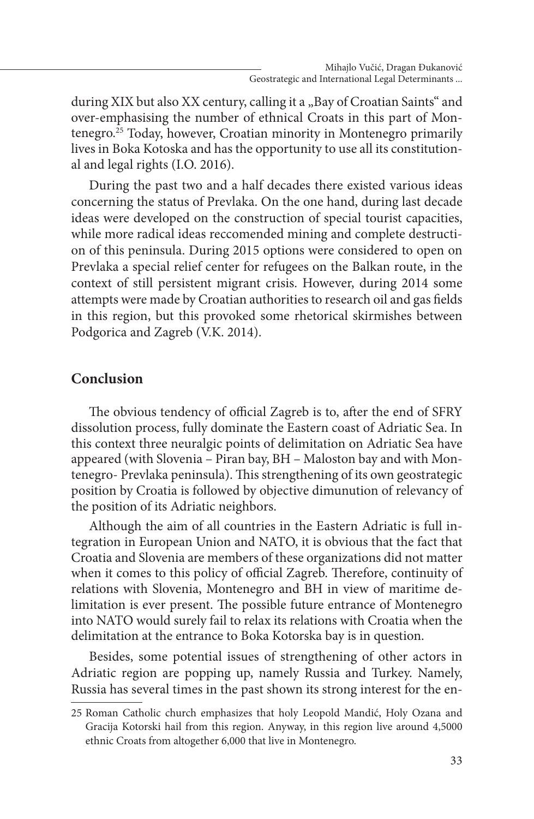during XIX but also XX century, calling it a "Bay of Croatian Saints" and over-emphasising the number of ethnical Croats in this part of Montenegro. $25$  Today, however, Croatian minority in Montenegro primarily lives in Boka Kotoska and has the opportunity to use all its constitutional and legal rights (I.O. 2016).

During the past two and a half decades there existed various ideas concerning the status of Prevlaka. On the one hand, during last decade ideas were developed on the construction of special tourist capacities, while more radical ideas reccomended mining and complete destruction of this peninsula. During 2015 options were considered to open on Prevlaka a special relief center for refugees on the Balkan route, in the context of still persistent migrant crisis. However, during 2014 some attempts were made by Croatian authorities to research oil and gas fields in this region, but this provoked some rhetorical skirmishes between Podgorica and Zagreb (V.K. 2014).

### **Conclusion**

The obvious tendency of official Zagreb is to, after the end of SFRY dissolution process, fully dominate the Eastern coast of Adriatic Sea. In this context three neuralgic points of delimitation on Adriatic Sea have appeared (with Slovenia – Piran bay, BH – Maloston bay and with Montenegro- Prevlaka peninsula). This strengthening of its own geostrategic position by Croatia is followed by objective dimunution of relevancy of the position of its Adriatic neighbors.

Although the aim of all countries in the Eastern Adriatic is full integration in European Union and NATO, it is obvious that the fact that Croatia and Slovenia are members of these organizations did not matter when it comes to this policy of official Zagreb. Therefore, continuity of relations with Slovenia, Montenegro and BH in view of maritime delimitation is ever present. The possible future entrance of Montenegro into NATO would surely fail to relax its relations with Croatia when the delimitation at the entrance to Boka Kotorska bay is in question.

Besides, some potential issues of strengthening of other actors in Adriatic region are popping up, namely Russia and Turkey. Namely, Russia has several times in the past shown its strong interest for the en-

<sup>25</sup> Roman Catholic church emphasizes that holy Leopold Mandić, Holy Ozana and Gracija Kotorski hail from this region. Anyway, in this region live around 4,5000 ethnic Croats from altogether 6,000 that live in Montenegro.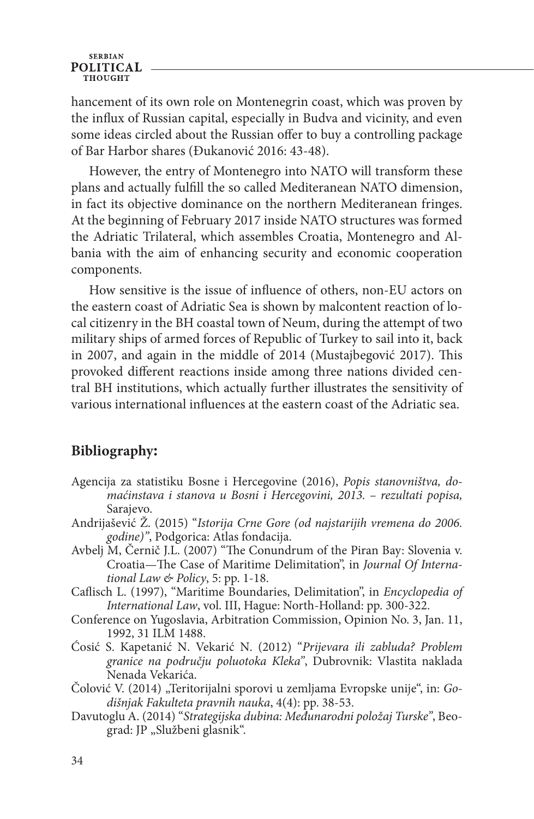hancement of its own role on Montenegrin coast, which was proven by the influx of Russian capital, especially in Budva and vicinity, and even some ideas circled about the Russian offer to buy a controlling package of Bar Harbor shares (Đukanović 2016: 43-48).

However, the entry of Montenegro into NATO will transform these plans and actually fulfill the so called Mediteranean NATO dimension, in fact its objective dominance on the northern Mediteranean fringes. At the beginning of February 2017 inside NATO structures was formed the Adriatic Trilateral, which assembles Croatia, Montenegro and Albania with the aim of enhancing security and economic cooperation components.

How sensitive is the issue of influence of others, non-EU actors on the eastern coast of Adriatic Sea is shown by malcontent reaction of local citizenry in the BH coastal town of Neum, during the attempt of two military ships of armed forces of Republic of Turkey to sail into it, back in 2007, and again in the middle of 2014 (Mustajbegović 2017). This provoked different reactions inside among three nations divided central BH institutions, which actually further illustrates the sensitivity of various international influences at the eastern coast of the Adriatic sea.

### **Bibliography:**

- Agencija za statistiku Bosne i Hercegovine (2016), *Popis stanovništva, domaćinstava i stanova u Bosni i Hercegovini, 2013. – rezultati popisa,* Sarajevo.
- Andrijašević Ž. (2015) "*Istorija Crne Gore (od najstarijih vremena do 2006. godine)"*, Podgorica: Atlas fondacija.
- Avbelj M, Černič J.L. (2007) "The Conundrum of the Piran Bay: Slovenia v. Croatia—The Case of Maritime Delimitation", in *Journal Of International Law & Policy*, 5: pp. 1-18.
- Caflisch L. (1997), "Maritime Boundaries, Delimitation", in *Encyclopedia of International Law*, vol. III, Hague: North-Holland: pp. 300-322.
- Conference on Yugoslavia, Arbitration Commission, Opinion No. 3, Jan. 11, 1992, 31 ILM 1488.
- Ćosić S. Kapetanić N. Vekarić N. (2012) "*Prijevara ili zabluda? Problem granice na području poluotoka Kleka"*, Dubrovnik: Vlastita naklada Nenada Vekarića.
- Čolović V. (2014) "Teritorijalni sporovi u zemljama Evropske unije", in: *Godišnjak Fakulteta pravnih nauka*, 4(4): pp. 38-53.
- Davutoglu A. (2014) "*Strategijska dubina: Međunarodni položaj Turske"*, Beograd: JP "Službeni glasnik".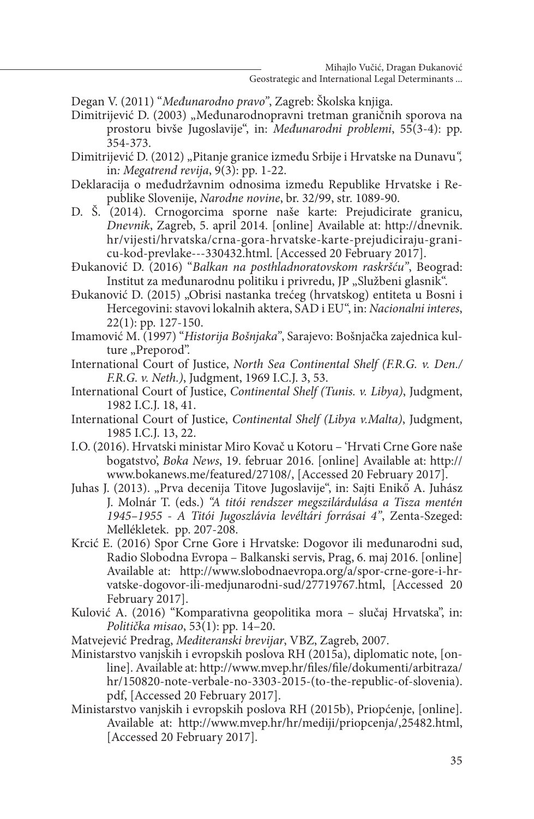- Degan V. (2011) "*Međunarodno pravo"*, Zagreb: Školska knjiga.
- Dimitrijević D. (2003) "Međunarodnopravni tretman graničnih sporova na prostoru bivše Jugoslavije", in: *Međunarodni problemi*, 55(3-4): pp. 354-373.

Dimitrijević D. (2012) "Pitanje granice između Srbije i Hrvatske na Dunavu*",*  in*: Megatrend revija*, 9(3): pp. 1-22.

- Deklaracija o međudržavnim odnosima između Republike Hrvatske i Republike Slovenije, *Narodne novine*, br. 32/99, str. 1089-90.
- D. Š. (2014). Crnogorcima sporne naše karte: Prejudicirate granicu, *Dnevnik*, Zagreb, 5. april 2014. [online] Available at: http://dnevnik. hr/vijesti/hrvatska/crna-gora-hrvatske-karte-prejudiciraju-granicu-kod-prevlake---330432.html. [Accessed 20 February 2017].
- Đukanović D. (2016) "*Balkan na posthladnoratovskom raskršću"*, Beograd: Institut za međunarodnu politiku i privredu, JP "Službeni glasnik".
- Đukanović D. (2015) "Obrisi nastanka trećeg (hrvatskog) entiteta u Bosni i Hercegovini: stavovi lokalnih aktera, SAD i EU", in: *Nacionalni interes*, 22(1): pp. 127-150.
- Imamović M. (1997) "*Historija Bošnjaka"*, Sarajevo: Bošnjačka zajednica kulture "Preporod".
- International Court of Justice, *North Sea Continental Shelf (F.R.G. v. Den./ F.R.G. v. Neth.)*, Judgment, 1969 I.C.J. 3, 53.
- International Court of Justice, *Continental Shelf (Tunis. v. Libya)*, Judgment, 1982 I.C.J. 18, 41.
- International Court of Justice, *Continental Shelf (Libya v.Malta)*, Judgment, 1985 I.C.J. 13, 22.
- I.O. (2016). Hrvatski ministar Miro Kovač u Kotoru 'Hrvati Crne Gore naše bogatstvo', *Boka News*, 19. februar 2016. [online] Available at: http:// www.bokanews.me/featured/27108/, [Accessed 20 February 2017].
- Juhas J. (2013). "Prva decenija Titove Jugoslavije", in: Sajti Enikő A. Juhász J. Molnár T. (eds.) *"A titói rendszer megszilárdulása a Tisza mentén 1945–1955 - A Titói Jugoszlávia levéltári forrásai 4"*, Zenta-Szeged: Mellékletek. pp. 207-208.
- Krcić E. (2016) Spor Crne Gore i Hrvatske: Dogovor ili međunarodni sud, Radio Slobodna Evropa – Balkanski servis, Prag, 6. maj 2016. [online] Available at: http://www.slobodnaevropa.org/a/spor-crne-gore-i-hrvatske-dogovor-ili-medjunarodni-sud/27719767.html, [Accessed 20 February 2017].
- Kulović A. (2016) "Komparativna geopolitika mora slučaj Hrvatska", in: *Politička misao*, 53(1): pp. 14–20.
- Matvejević Predrag, *Mediteranski brevijar*, VBZ, Zagreb, 2007.
- Ministarstvo vanjskih i evropskih poslova RH (2015a), diplomatic note, [online]. Available at: http://www.mvep.hr/files/file/dokumenti/arbitraza/ hr/150820-note-verbale-no-3303-2015-(to-the-republic-of-slovenia). pdf, [Accessed 20 February 2017].
- Ministarstvo vanjskih i evropskih poslova RH (2015b), Priopćenje, [online]. Available at: http://www.mvep.hr/hr/mediji/priopcenja/,25482.html, [Accessed 20 February 2017].